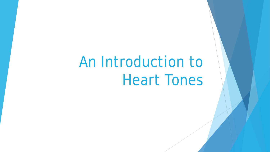# An Introduction to Heart Tones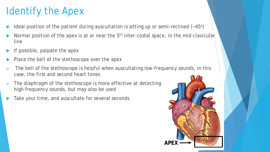## Identify the Apex

- Ideal position of the patient during auscultation is sitting up or semi-reclined  $(-45^{\circ})$
- Normal position of the apex is at or near the  $5<sup>th</sup>$  inter-costal space, in the mid-clavicular line
- If possible, palpate the apex
- Place the bell of the stethoscope over the apex
- o The bell of the stethoscope is helpful when auscultating low-frequency sounds, in this case, the first and second heart tones
- o The diaphragm of the stethoscope is more effective at detecting high-frequency sounds, but may also be used
- Take your time, and auscultate for several seconds

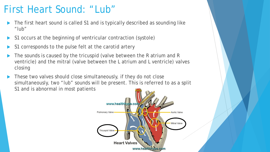#### First Heart Sound: "Lub"

- The first heart sound is called S1 and is typically described as sounding like "lub"
- S1 occurs at the beginning of ventricular contraction (systole)
- S1 corresponds to the pulse felt at the carotid artery
- The sounds is caused by the tricuspid (valve between the R atrium and R ventricle) and the mitral (valve between the L atrium and L ventricle) valves closing
- These two valves should close simultaneously, if they do not close simultaneously, two "lub" sounds will be present. This is referred to as a split S1 and is abnormal in most patients

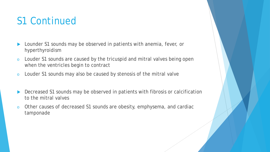#### S1 Continued

- **Lounder S1 sounds may be observed in patients with anemia, fever, or** hyperthyroidism
- o Louder S1 sounds are caused by the tricuspid and mitral valves being open when the ventricles begin to contract
- o Louder S1 sounds may also be caused by stenosis of the mitral valve
- Decreased S1 sounds may be observed in patients with fibrosis or calcification to the mitral valves
- o Other causes of decreased S1 sounds are obesity, emphysema, and cardiac tamponade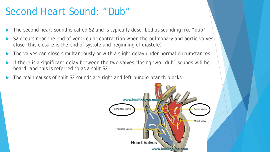#### Second Heart Sound: "Dub"

- The second heart sound is called S2 and is typically described as sounding like "dub"
- S2 occurs near the end of ventricular contraction when the pulmonary and aortic valves close (this closure is the end of systole and beginning of diastole)
- The valves can close simultaneously or with a slight delay under normal circumstances
- If there is a significant delay between the two valves closing two "dub" sounds will be heard, and this is referred to as a split S2
- The main causes of split S2 sounds are right and left bundle branch blocks

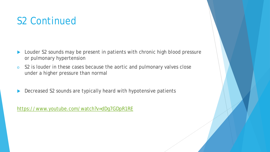#### S2 Continued

- **Louder S2 sounds may be present in patients with chronic high blood pressure** or pulmonary hypertension
- o S2 is louder in these cases because the aortic and pulmonary valves close under a higher pressure than normal
- Decreased S2 sounds are typically heard with hypotensive patients

<https://www.youtube.com/watch?v=dDg7GDpR1RE>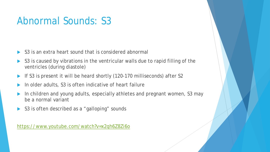#### Abnormal Sounds: S3

- S3 is an extra heart sound that is considered abnormal
- S3 is caused by vibrations in the ventricular walls due to rapid filling of the ventricles (during diastole)
- If S3 is present it will be heard shortly (120-170 milliseconds) after S2
- In older adults, S3 is often indicative of heart failure
- In children and young adults, especially athletes and pregnant women, S3 may be a normal variant
- S3 is often described as a "galloping" sounds

<https://www.youtube.com/watch?v=x2qh6Z8Zi6o>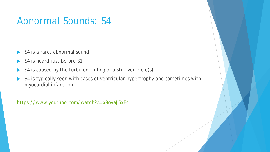#### Abnormal Sounds: S4

- S4 is a rare, abnormal sound
- S4 is heard just before S1
- S4 is caused by the turbulent filling of a stiff ventricle(s)
- S4 is typically seen with cases of ventricular hypertrophy and sometimes with myocardial infarction

<https://www.youtube.com/watch?v=lx9ovaJ5xFs>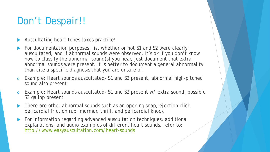### Don't Despair!!

Auscultating heart tones takes practice!

- For documentation purposes, list whether or not S1 and S2 were clearly auscultated, and if abnormal sounds were observed. It's ok if you don't know how to classify the abnormal sound(s) you hear, just document that extra abnormal sounds were present. It is better to document a general abnormality than cite a specific diagnosis that you are unsure of.
- Example: Heart sounds auscultated- S1 and S2 present, abnormal high-pitched sound also present
- o Example: Heart sounds auscultated- S1 and S2 present w/ extra sound, possible S3 gallop present
- There are other abnormal sounds such as an opening snap, ejection click, pericardial friction rub, murmur, thrill, and pericardial knock
- For information regarding advanced auscultation techniques, additional explanations, and audio examples of different heart sounds, refer to: <http://www.easyauscultation.com/heart-sounds>